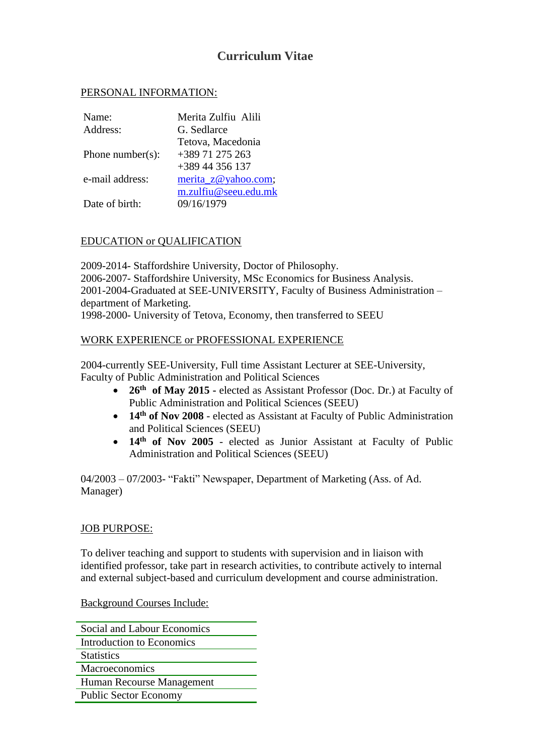# **Curriculum Vitae**

### PERSONAL INFORMATION:

| Name:                | Merita Zulfiu Alili  |
|----------------------|----------------------|
| Address:             | G. Sedlarce          |
|                      | Tetova, Macedonia    |
| Phone number( $s$ ): | +389 71 275 263      |
|                      | $+38944356137$       |
| e-mail address:      | merita_z@yahoo.com;  |
|                      | m.zulfiu@seeu.edu.mk |
| Date of birth:       | 09/16/1979           |

### EDUCATION or QUALIFICATION

2009-2014- Staffordshire University, Doctor of Philosophy. 2006-2007- Staffordshire University, MSc Economics for Business Analysis. 2001-2004-Graduated at SEE-UNIVERSITY, Faculty of Business Administration – department of Marketing.

1998-2000- University of Tetova, Economy, then transferred to SEEU

### WORK EXPERIENCE or PROFESSIONAL EXPERIENCE

2004-currently SEE-University, Full time Assistant Lecturer at SEE-University, Faculty of Public Administration and Political Sciences

- 26<sup>th</sup> of May 2015 **-** elected as Assistant Professor (Doc. Dr.) at Faculty of Public Administration and Political Sciences (SEEU)
- **14th of Nov 2008** elected as Assistant at Faculty of Public Administration and Political Sciences (SEEU)
- 14<sup>th</sup> of Nov 2005 elected as Junior Assistant at Faculty of Public Administration and Political Sciences (SEEU)

04/2003 – 07/2003- "Fakti" Newspaper, Department of Marketing (Ass. of Ad. Manager)

### **JOB PURPOSE:**

To deliver teaching and support to students with supervision and in liaison with identified professor, take part in research activities, to contribute actively to internal and external subject-based and curriculum development and course administration.

Background Courses Include:

| Social and Labour Economics  |  |
|------------------------------|--|
| Introduction to Economics    |  |
| <b>Statistics</b>            |  |
| Macroeconomics               |  |
| Human Recourse Management    |  |
| <b>Public Sector Economy</b> |  |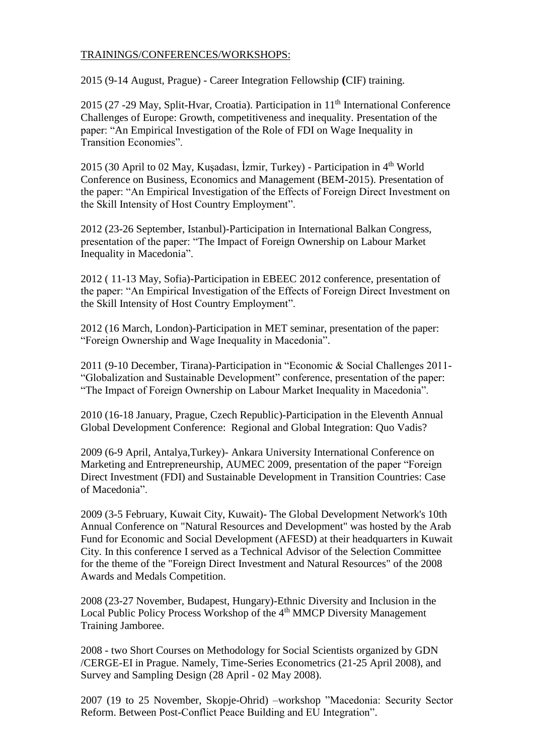## TRAININGS/CONFERENCES/WORKSHOPS:

2015 (9-14 August, Prague) - Career Integration Fellowship **(**CIF) training.

2015 (27 -29 May, Split-Hyar, Croatia). Participation in 11<sup>th</sup> International Conference Challenges of Europe: Growth, competitiveness and inequality. Presentation of the paper: "An Empirical Investigation of the Role of FDI on Wage Inequality in Transition Economies".

2015 (30 April to 02 May, Kuşadası, İzmir, Turkey) - Participation in 4th World Conference on Business, Economics and Management (BEM-2015). Presentation of the paper: "An Empirical Investigation of the Effects of Foreign Direct Investment on the Skill Intensity of Host Country Employment".

2012 (23-26 September, Istanbul)-Participation in International Balkan Congress, presentation of the paper: "The Impact of Foreign Ownership on Labour Market Inequality in Macedonia".

2012 ( 11-13 May, Sofia)-Participation in EBEEC 2012 conference, presentation of the paper: "An Empirical Investigation of the Effects of Foreign Direct Investment on the Skill Intensity of Host Country Employment".

2012 (16 March, London)-Participation in MET seminar, presentation of the paper: "Foreign Ownership and Wage Inequality in Macedonia".

2011 (9-10 December, Tirana)-Participation in "Economic & Social Challenges 2011- "Globalization and Sustainable Development" conference, presentation of the paper: "The Impact of Foreign Ownership on Labour Market Inequality in Macedonia".

2010 (16-18 January, Prague, Czech Republic)-Participation in the Eleventh Annual Global Development Conference: Regional and Global Integration: Quo Vadis?

2009 (6-9 April, Antalya,Turkey)- Ankara University International Conference on Marketing and Entrepreneurship, AUMEC 2009, presentation of the paper "Foreign Direct Investment (FDI) and Sustainable Development in Transition Countries: Case of Macedonia".

2009 (3-5 February, Kuwait City, Kuwait)- The Global Development Network's 10th Annual Conference on "Natural Resources and Development" was hosted by the Arab Fund for Economic and Social Development (AFESD) at their headquarters in Kuwait City. In this conference I served as a Technical Advisor of the Selection Committee for the theme of the "Foreign Direct Investment and Natural Resources" of the 2008 Awards and Medals Competition.

2008 (23-27 November, Budapest, Hungary)-Ethnic Diversity and Inclusion in the Local Public Policy Process Workshop of the 4<sup>th</sup> MMCP Diversity Management Training Jamboree.

2008 - two Short Courses on Methodology for Social Scientists organized by GDN /CERGE-EI in Prague. Namely, Time-Series Econometrics (21-25 April 2008), and Survey and Sampling Design (28 April - 02 May 2008).

2007 (19 to 25 November, Skopje-Ohrid) –workshop "Macedonia: Security Sector Reform. Between Post-Conflict Peace Building and EU Integration".